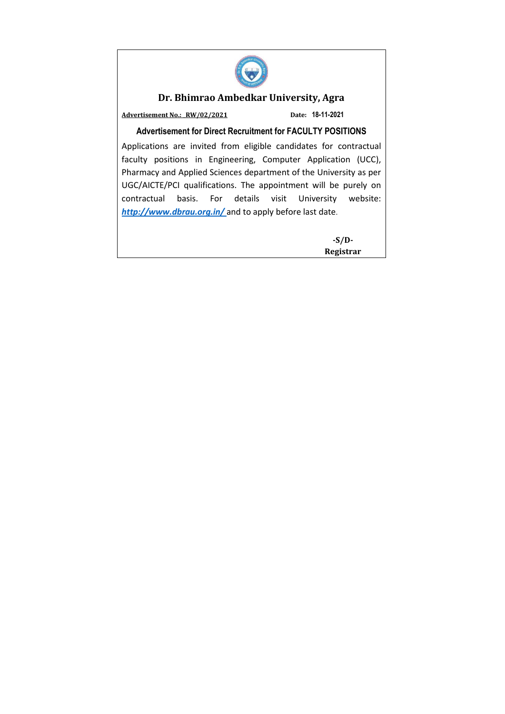

### **Dr. Bhimrao Ambedkar University, Agra**

**Advertisement No.: \_RW/02/2021 Date: 18-11-2021**

#### **Advertisement for Direct Recruitment for FACULTY POSITIONS**

Applications are invited from eligible candidates for contractual faculty positions in Engineering, Computer Application (UCC), Pharmacy and Applied Sciences department of the University as per UGC/AICTE/PCI qualifications. The appointment will be purely on contractual basis. For details visit University website: *[http://www.dbrau.org.in/](http://www.dbrau.org.in/Advertisment.aspx)* and to apply before last date.

> **-S/D-Registrar**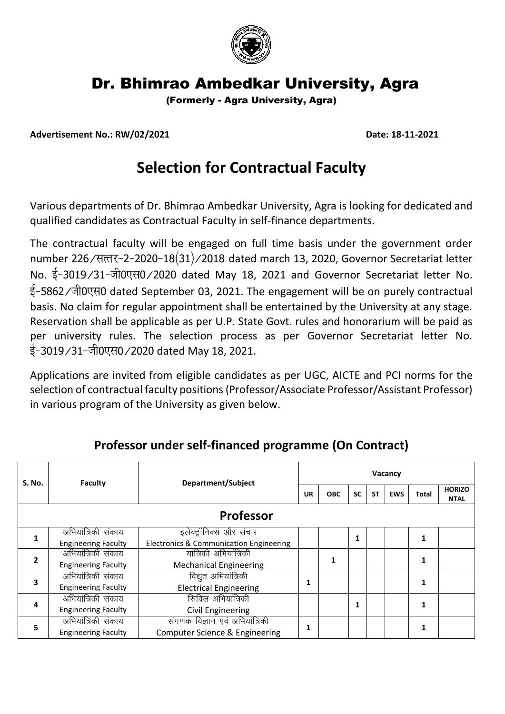

## Dr. Bhimrao Ambedkar University, Agra

(Formerly - Agra University, Agra)

**Advertisement No.: RW/02/2021 Date: 18-11-2021**

# **Selection for Contractual Faculty**

Various departments of Dr. Bhimrao Ambedkar University, Agra is looking for dedicated and qualified candidates as Contractual Faculty in self-finance departments.

The contractual faculty will be engaged on full time basis under the government order number 226/सत्तर-2-2020-18(31)/2018 dated march 13, 2020, Governor Secretariat letter No. ई-3019/31-जी0एस0/2020 dated May 18, 2021 and Governor Secretariat letter No. ई-5862/जी0एस0 dated September 03, 2021. The engagement will be on purely contractual basis. No claim for regular appointment shall be entertained by the University at any stage. Reservation shall be applicable as per U.P. State Govt. rules and honorarium will be paid as per university rules. The selection process as per Governor Secretariat letter No. ई-3019/31-जी0एस0/2020 dated May 18, 2021.

Applications are invited from eligible candidates as per UGC, AICTE and PCI norms for the selection of contractual faculty positions (Professor/Associate Professor/Assistant Professor) in various program of the University as given below.

| S. No.           | Faculty                    | Department/Subject                      | Vacancy |            |           |           |            |       |                              |
|------------------|----------------------------|-----------------------------------------|---------|------------|-----------|-----------|------------|-------|------------------------------|
|                  |                            |                                         | UR      | <b>OBC</b> | <b>SC</b> | <b>ST</b> | <b>EWS</b> | Total | <b>HORIZO</b><br><b>NTAL</b> |
| <b>Professor</b> |                            |                                         |         |            |           |           |            |       |                              |
|                  | अभियात्रिकी संकाय          | इलेक्ट्रॉनिक्स और संचार                 |         |            | 1         |           |            |       |                              |
|                  | <b>Engineering Faculty</b> | Electronics & Communication Engineering |         |            |           |           |            |       |                              |
| 2                | अभियांत्रिकी संकाय         | यांत्रिकी अभियांत्रिकी                  |         |            |           |           |            |       |                              |
|                  | <b>Engineering Faculty</b> | <b>Mechanical Engineering</b>           |         |            |           |           |            |       |                              |
|                  | अभियात्रिकी संकाय          | विद्युत अभियांत्रिकी                    |         |            |           |           |            |       |                              |
| 3                | <b>Engineering Faculty</b> | <b>Electrical Engineering</b>           | 1       |            |           |           |            |       |                              |
| 4                | अभियात्रिकी संकाय          | सिविल अभियांत्रिकी                      |         | 1          |           |           |            | 1     |                              |
|                  | <b>Engineering Faculty</b> | Civil Engineering                       |         |            |           |           |            |       |                              |
|                  | अभियात्रिकी संकाय          | संगणक विज्ञान एवं अभियांत्रिकी          | 1       |            |           |           |            |       |                              |
|                  | <b>Engineering Faculty</b> | Computer Science & Engineering          |         |            |           |           |            |       |                              |

### **Professor under self-financed programme (On Contract)**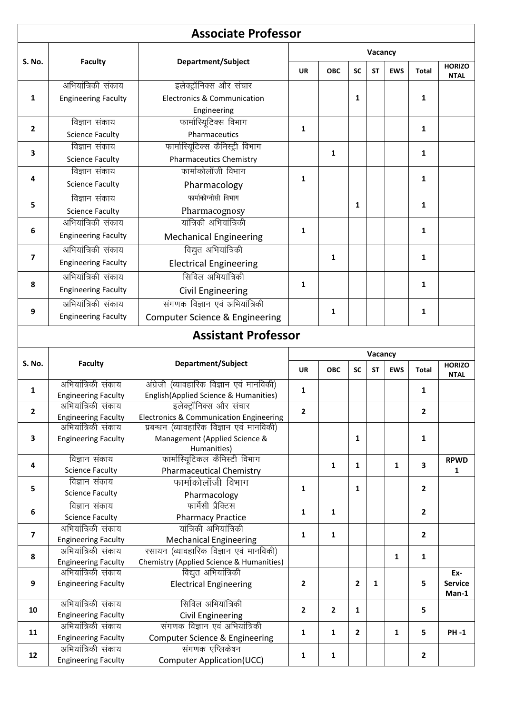|                         |                                                  | <b>Associate Professor</b>                            |                |                |                |           |              |                         |                                  |  |
|-------------------------|--------------------------------------------------|-------------------------------------------------------|----------------|----------------|----------------|-----------|--------------|-------------------------|----------------------------------|--|
| S. No.                  | <b>Faculty</b>                                   | Department/Subject                                    | Vacancy        |                |                |           |              |                         |                                  |  |
|                         |                                                  |                                                       | <b>UR</b>      | <b>OBC</b>     | <b>SC</b>      | <b>ST</b> | <b>EWS</b>   | <b>Total</b>            | <b>HORIZO</b><br><b>NTAL</b>     |  |
|                         | अभियांत्रिकी संकाय                               | इलेक्ट्रॉनिक्स और संचार                               |                |                |                |           |              |                         |                                  |  |
| $\mathbf{1}$            | <b>Engineering Faculty</b>                       | <b>Electronics &amp; Communication</b>                |                |                | $\mathbf{1}$   |           |              | 1                       |                                  |  |
|                         |                                                  | Engineering                                           |                |                |                |           |              |                         |                                  |  |
| $\overline{2}$          | विज्ञान संकाय                                    | फार्मास्यूटिक्स विभाग                                 | $\mathbf{1}$   |                |                |           |              | 1                       |                                  |  |
|                         | <b>Science Faculty</b>                           | Pharmaceutics                                         |                |                |                |           |              |                         |                                  |  |
|                         | विज्ञान संकाय                                    | फार्मास्यिटिक्स कैमिस्ट्री विभाग                      |                |                |                |           |              |                         |                                  |  |
| 3                       | <b>Science Faculty</b>                           | <b>Pharmaceutics Chemistry</b>                        |                | 1              |                |           |              | $\mathbf{1}$            |                                  |  |
| 4                       | विज्ञान संकाय                                    | फार्माकोलॉजी विभाग                                    | $\mathbf{1}$   |                |                |           |              |                         |                                  |  |
|                         | <b>Science Faculty</b>                           | Pharmacology                                          |                |                |                |           |              | 1                       |                                  |  |
| 5                       | विज्ञान संकाय                                    | फार्माकोग्नोसी विभाग                                  |                |                |                |           |              |                         |                                  |  |
|                         | <b>Science Faculty</b>                           | Pharmacognosy                                         |                |                | $\mathbf{1}$   |           |              | $\mathbf{1}$            |                                  |  |
|                         | अभियांत्रिकी संकाय                               | यांत्रिकी अभियांत्रिकी                                |                |                |                |           |              |                         |                                  |  |
| 6                       | <b>Engineering Faculty</b>                       | <b>Mechanical Engineering</b>                         | $\mathbf{1}$   |                |                |           |              | 1                       |                                  |  |
|                         | अभियांत्रिकी संकाय                               | विद्युत अभियांत्रिकी                                  |                |                |                |           |              |                         |                                  |  |
| 7                       |                                                  |                                                       |                | 1              |                |           |              | 1                       |                                  |  |
|                         | <b>Engineering Faculty</b>                       | <b>Electrical Engineering</b>                         |                |                |                |           |              |                         |                                  |  |
| 8                       | अभियांत्रिकी संकाय                               | सिविल अभियांत्रिकी                                    | 1              |                |                |           |              | 1                       |                                  |  |
|                         | <b>Engineering Faculty</b>                       | Civil Engineering                                     |                |                |                |           |              |                         |                                  |  |
| 9                       | अभियांत्रिकी संकाय                               | संगणक विज्ञान एवं अभियात्रिकी                         |                | 1              |                |           |              | 1                       |                                  |  |
|                         | <b>Engineering Faculty</b>                       | Computer Science & Engineering                        |                |                |                |           |              |                         |                                  |  |
|                         |                                                  | <b>Assistant Professor</b>                            |                |                |                |           |              |                         |                                  |  |
|                         |                                                  |                                                       | Vacancy        |                |                |           |              |                         |                                  |  |
| <b>S. No.</b>           |                                                  |                                                       |                |                |                |           |              |                         |                                  |  |
|                         | <b>Faculty</b>                                   | Department/Subject                                    | <b>UR</b>      | <b>OBC</b>     | <b>SC</b>      | <b>ST</b> | <b>EWS</b>   | <b>Total</b>            | <b>HORIZO</b><br><b>NTAL</b>     |  |
|                         | अभियांत्रिकी संकाय                               | अंग्रेजी (व्यावहारिक विज्ञान एवं मानविकी)             |                |                |                |           |              |                         |                                  |  |
| 1                       | <b>Engineering Faculty</b>                       | English(Applied Science & Humanities)                 | 1              |                |                |           |              | 1                       |                                  |  |
| $\overline{2}$          | अभियात्रिकी संकाय                                | इलेक्ट्रॉनिक्स और संचार                               | $\overline{2}$ |                |                |           |              | $\mathbf{2}$            |                                  |  |
|                         | <b>Engineering Faculty</b>                       | Electronics & Communication Engineering               |                |                |                |           |              |                         |                                  |  |
|                         | अभियात्रिकी संकाय                                | प्रबन्धन (व्यावहारिक विज्ञान एवं मानविकी)             |                |                |                |           |              |                         |                                  |  |
| $\overline{\mathbf{3}}$ | <b>Engineering Faculty</b>                       | Management (Applied Science &                         |                |                | 1              |           |              | $\mathbf{1}$            |                                  |  |
|                         | विज्ञान संकाय                                    | Humanities)<br>फार्मास्यिटिकल कैमिस्टी विभाग          |                |                |                |           |              |                         | <b>RPWD</b>                      |  |
| 4                       | <b>Science Faculty</b>                           | <b>Pharmaceutical Chemistry</b>                       |                | 1              | 1              |           | $\mathbf{1}$ | $\overline{\mathbf{3}}$ | 1                                |  |
|                         | विज्ञान संकाय                                    | फार्माकोलॉजी विभाग                                    |                |                |                |           |              |                         |                                  |  |
| 5                       | <b>Science Faculty</b>                           | Pharmacology                                          | $\mathbf{1}$   |                | 1              |           |              | $\overline{2}$          |                                  |  |
|                         | विज्ञान संकाय                                    | फार्मेसी प्रैक्टिस                                    |                |                |                |           |              |                         |                                  |  |
| 6                       | <b>Science Faculty</b>                           | <b>Pharmacy Practice</b>                              | 1              | $\mathbf{1}$   |                |           |              | $\overline{2}$          |                                  |  |
| $\overline{\mathbf{z}}$ | अभियात्रिकी संकाय                                | यांत्रिकी अभियांत्रिकी                                | $\mathbf{1}$   | $\mathbf{1}$   |                |           |              |                         |                                  |  |
|                         | <b>Engineering Faculty</b>                       | <b>Mechanical Engineering</b>                         |                |                |                |           |              | $\overline{2}$          |                                  |  |
| 8                       | अभियात्रिकी संकाय                                | रसायन (व्यावहारिक विज्ञान एवं मानविकी)                |                |                |                |           | $\mathbf{1}$ | $\mathbf 1$             |                                  |  |
|                         | <b>Engineering Faculty</b>                       | Chemistry (Applied Science & Humanities)              |                |                |                |           |              |                         |                                  |  |
| 9                       | अभियात्रिकी संकाय<br><b>Engineering Faculty</b>  | विद्युत अभियांत्रिकी<br><b>Electrical Engineering</b> | $\overline{2}$ |                | $\overline{2}$ | 1         |              | 5                       | Ex-<br><b>Service</b><br>$Man-1$ |  |
|                         | अभियात्रिकी संकाय                                | सिविल अभियांत्रिकी                                    |                |                |                |           |              |                         |                                  |  |
| 10                      | <b>Engineering Faculty</b>                       | <b>Civil Engineering</b>                              | $\overline{2}$ | $\overline{2}$ | $\mathbf{1}$   |           |              | 5                       |                                  |  |
|                         | अभियांत्रिकी संकाय                               | संगणक विज्ञान एवं अभियांत्रिकी                        |                |                |                |           |              |                         |                                  |  |
| 11                      | <b>Engineering Faculty</b>                       | Computer Science & Engineering                        | $\mathbf{1}$   | 1              | $\mathbf{2}$   |           | 1            | 5                       | <b>PH-1</b>                      |  |
| 12                      | अभियांत्रिकी संकाय<br><b>Engineering Faculty</b> | संगणक एप्लिकेषन<br>Computer Application(UCC)          | 1              | 1              |                |           |              | $\overline{2}$          |                                  |  |